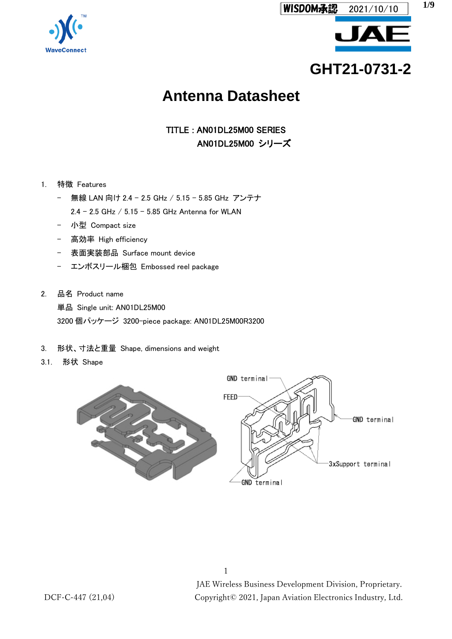



**GHT21-0731-2**

# **Antenna Datasheet**

TITLE : AN01DL25M00 SERIES AN01DL25M00 シリーズ

- 1. 特徴 Features
	- 無線 LAN 向け 2.4 2.5 GHz / 5.15 5.85 GHz アンテナ
		- 2.4 2.5 GHz /  $5.15 5.85$  GHz Antenna for WLAN
	- 小型 Compact size
	- 高効率 High efficiency
	- 表面実装部品 Surface mount device
	- エンボスリール梱包 Embossed reel package
- 2. 品名 Product name 単品 Single unit: AN01DL25M00 3200 個パッケージ 3200-piece package: AN01DL25M00R3200
- 3. 形状、寸法と重量 Shape, dimensions and weight
- 3.1. 形状 Shape

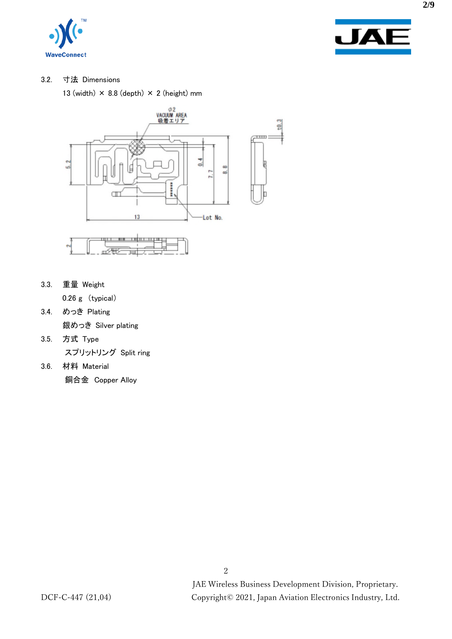



### 3.2. 寸法 Dimensions

13 (width)  $\times$  8.8 (depth)  $\times$  2 (height) mm



3.3. 重量 Weight

0.26 g (typical)

- 3.4. めっき Plating 銀めっき Silver plating
- 3.5. 方式 Type スプリットリング Split ring
- 3.6. 材料 Material 銅合金 Copper Alloy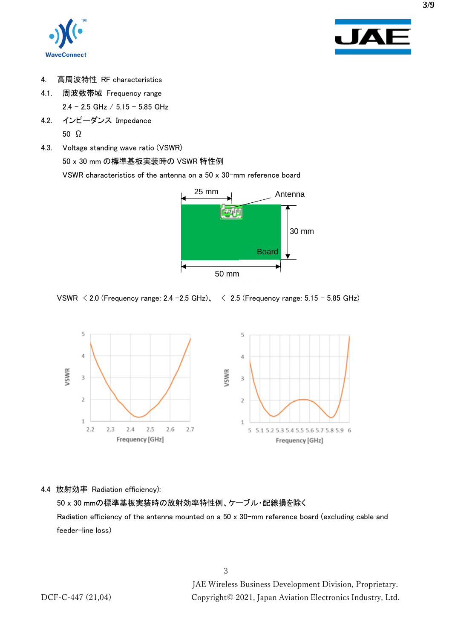



- 4. 高周波特性 RF characteristics
- 4.1. 周波数帯域 Frequency range  $2.4 - 2.5$  GHz  $/ 5.15 - 5.85$  GHz
- 4.2. インピーダンス Impedance 50 Ω
- 4.3. Voltage standing wave ratio (VSWR)

50 x 30 mm の標準基板実装時の VSWR 特性例

VSWR characteristics of the antenna on a 50 x 30-mm reference board



VSWR  $\le$  2.0 (Frequency range: 2.4 -2.5 GHz),  $\le$  2.5 (Frequency range: 5.15 - 5.85 GHz)



4.4 放射効率 Radiation efficiency):

50 x 30 mmの標準基板実装時の放射効率特性例、ケーブル・配線損を除く Radiation efficiency of the antenna mounted on a 50 x 30-mm reference board (excluding cable and feeder-line loss)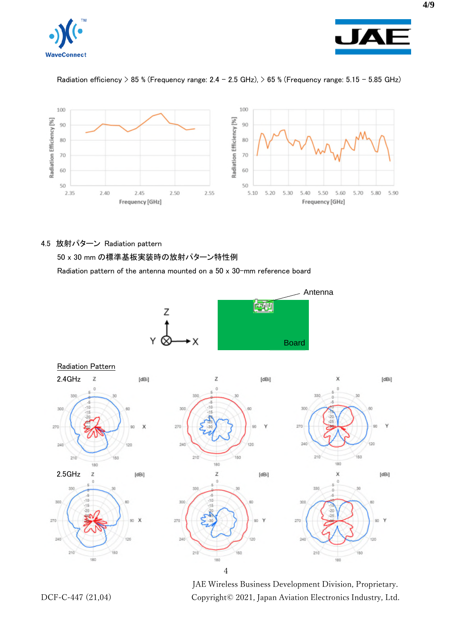



### Radiation efficiency > 85 % (Frequency range:  $2.4 - 2.5$  GHz), > 65 % (Frequency range:  $5.15 - 5.85$  GHz)



#### 4.5 放射パターン Radiation pattern

50 x 30 mm の標準基板実装時の放射パターン特性例

Radiation pattern of the antenna mounted on a 50 x 30-mm reference board





JAE Wireless Business Development Division, Proprietary. DCF-C-447 (21,04) Copyright© 2021, Japan Aviation Electronics Industry, Ltd.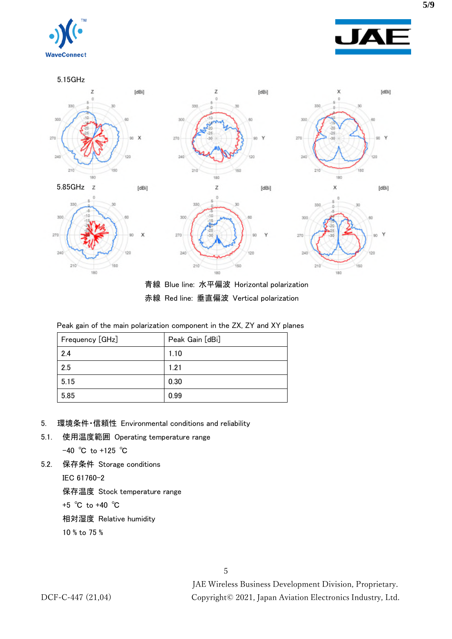



5.15GHz



青線 Blue line: 水平偏波 Horizontal polarization 赤線 Red line: 垂直偏波 Vertical polarization

|  |  | Peak gain of the main polarization component in the ZX, ZY and XY planes |  |  |  |
|--|--|--------------------------------------------------------------------------|--|--|--|
|  |  |                                                                          |  |  |  |

| Frequency [GHz] | Peak Gain [dBi] |  |
|-----------------|-----------------|--|
| 2.4             | 1.10            |  |
| 2.5             | 1.21            |  |
| 5.15            | 0.30            |  |
| 5.85            | 0.99            |  |

- 5. 環境条件・信頼性 Environmental conditions and reliability
- 5.1. 使用温度範囲 Operating temperature range

-40 ℃ to +125 ℃

5.2. 保存条件 Storage conditions

IEC 61760-2

保存温度 Stock temperature range

+5 ℃ to +40 ℃

相対湿度 Relative humidity

10 % to 75 %

JAE Wireless Business Development Division, Proprietary. DCF-C-447 (21,04) Copyright© 2021, Japan Aviation Electronics Industry, Ltd.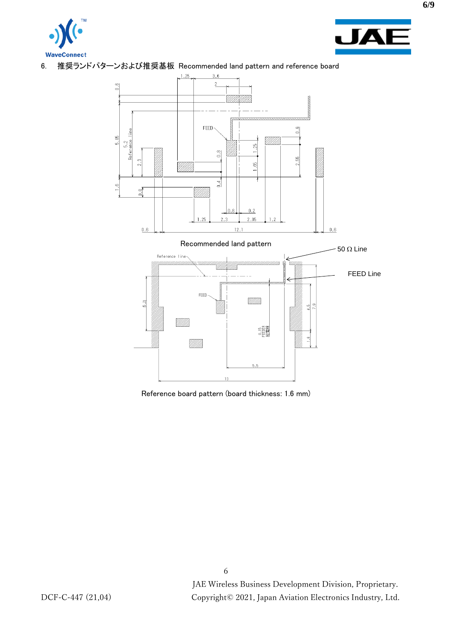



6. 推奨ランドパターンおよび推奨基板 Recommended land pattern and reference board



Reference board pattern (board thickness: 1.6 mm)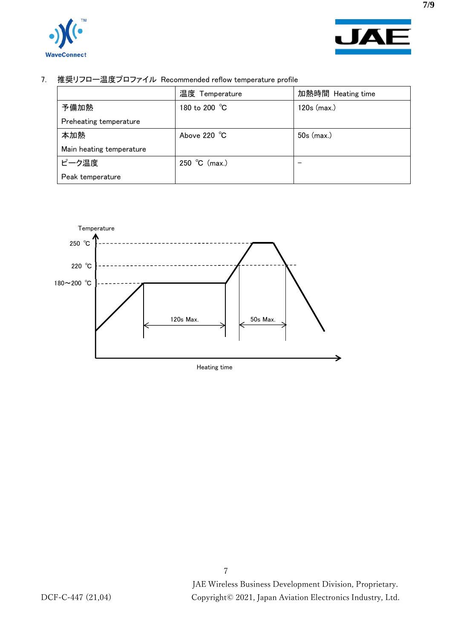



7. 推奨リフロー温度プロファイル Recommended reflow temperature profile

|                          | 温度 Temperature                  | 加熱時間 Heating time |
|--------------------------|---------------------------------|-------------------|
| 予備加熱                     | 180 to 200 $^{\circ}\textrm{C}$ | 120s (max.)       |
| Preheating temperature   |                                 |                   |
| 本加熱                      | Above 220 °C                    | $50s$ (max.)      |
| Main heating temperature |                                 |                   |
| ピーク温度                    | 250 °C (max.)                   |                   |
| Peak temperature         |                                 |                   |

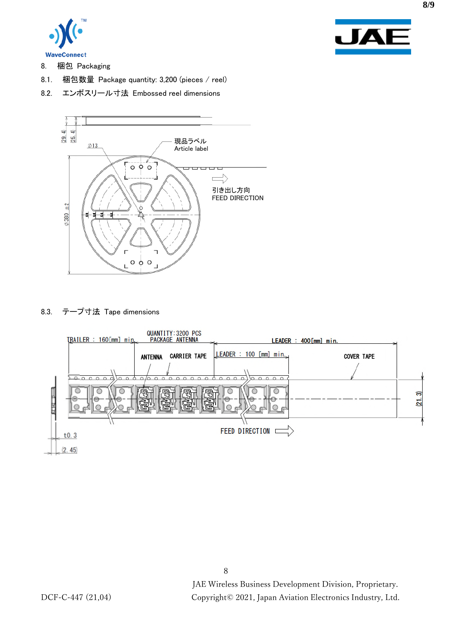



- 8. 梱包 Packaging
- 8.1. 梱包数量 Package quantity: 3,200 (pieces / reel)
- 8.2. エンボスリール寸法 Embossed reel dimensions